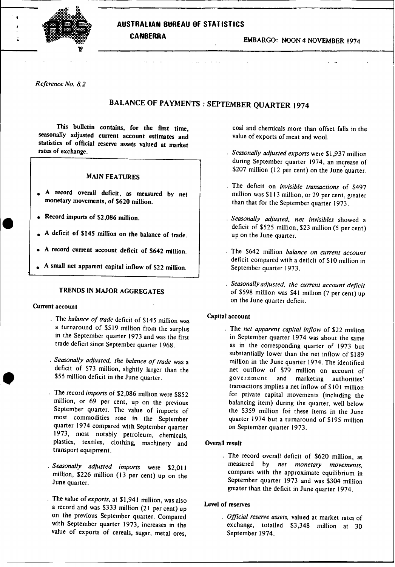

Reference No. *8.2*

# **BALANCE OF PAYMENTS : SEPTEMBER QUARTER 1974**

**This bulletin contains, for the first time, seasonally adjusted current account estimates and statistics of official reserve assets valued at market rates of exchange.**

## **MAIN FEATURES**

- **\* A record overall deficit, as measured by net monetary movements, of \$620 million.**
- **\* Record imports of \$2,086 million.**
- **\* A deficit of \$145 million on the balance of trade.**
- **\* A record current account deficit of \$642 million.**
- **\* A small net apparent capital inflow of \$22 million.**

# **TRENDS IN MAJOR AGGREGATES**

#### **Current account**

- **The** balance of *trade* deficit of \$145 million was **a turnaround of \$519 million from** the **surplus** in the September quarter 1973 and was the first trade deficit since September quarter 1968.
- . Seasonally adjusted, the balance of trade was a deficit of \$73 **million,** slightly larger than the \$55 million deficit in the June quarter.
- The record imports of \$2,086 million were \$852 million, or 69 per cent, up on the previous September quarter. The value of imports of most commodities **rose in** the September quarter 1974 compared with September quarter<br>1973, most notably petroleum, chemicals, plastics, textiles, clothing, machinery and transport equipment.
- *.* Seasonally adjusted imports were \$2,011 million, \$226 million (13 per cent) up on the June quarter.
- \* The value of exports, at \$1,941 **million, was also** a record and was \$333 **million** (21 per cent) up on the previous September quarter. Compared with September quarter 1973, increases in the value of exports of cereals, **sugar,** metal **ores,**

coal and chemicals more than offset falls in the value of exports of meat and wool.

- Seasonally adjusted exports were \$1,937 million during September quarter 1974, an increase of \$207 million (12 per cent) on the June quarter.
- . The deficit on *invisible transactions* of \$497 million was \$113 million, or 29 per cent, greater than that for the September quarter 1973.
- . Seasonally adjusted, **net invisibles** showed a deficit of \$525 million, \$23 million (5 per cent) up on the June quarter.
- The \$642 million balance on current account deficit compared with a deficit of \$10 million in September quarter 1973.
- Seasonally adjusted, the current account deficit of \$598 million was \$41 million (7 per cent) up on the June quarter deficit.

## **Capital account**

The net apparent capital inflow of \$22 million in September quarter 1974 was about the same as in the corresponding quarter of 1973 but substantially lower than the net inflow of \$189 million in the June quarter 1974. The identified net outflow of \$79 million on account of government and marketing authorities' transactions **implies a net** inflow of \$101 million for private capital movements (including the balancing item) during the quarter, well below the \$359 million foi these items in the June quarter 1974 but a turnaround of \$195 million on September quarter 1973.

## **Overall result**

The record overall deficit of \$620 million, as **measured** by net monetary movements, compares with the approximate equilibrium in September quarter 1973 and was \$304 million greater than the deficit in June quarter 1974.

## **Level of reserves**

Official **reserve assets,** valued at market rates of exchange, totalled \$3,348 million at 30 September 1974.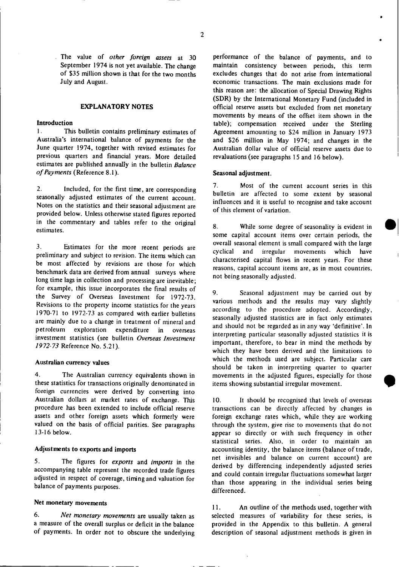The value of *other foreign assets* at 30 September 1974 is not yet available. The change of \$35 million shown is that for the two months July and August.

#### EXPLANATORY NOTES

#### **Introduction**

1. This bulletin contains preliminary estimates of Australia's international balance of payments for the June quarter 1974, together with revised estimates for previous quarters and financial years. More detailed estimates are published annually in the bulletin *Balance of Payments* (Reference 8.1).

2. Included, for the first time, are corresponding seasonally adjusted estimates of the current account. Notes on the statistics and their seasonal adjustment are provided below. Unless otherwise stated figures reported in the commentary and tables refer to the original **estimates.**

3. Estimates for the more recent periods are preliminary and subject to revision. The items which can be most affected by revisions are those for which benchmark data are derived from annual surveys where long time lags in collection and processing are inevitable; for example, this issue incorporates the final results of the Survey of Overseas Investment for 1972-73. Revisions to the property income statistics for the years 1970-71 to 1972-73 as compared with earlier bulletins are mainly due to a change in treatment of mineral and petroleum exploration expenditure in overseas investment statistics (see bulletin *Overseas Investment 1972-73* Reference No. 5.21).

#### **Australian currency values**

4. The Australian currency equivalents shown in these statistics for transactions originally denominated in foreign currencies were derived by converting into Australian dollars at market rates of exchange. This procedure has been extended to include official reserve assets and other foreign assets which formerly were valued on the basis of official parities. See paragraphs 13-16 below.

### **Adjustments to exports and imports**

5. The figures for *exports* and *imports* in the accompanying table represent the recorded trade figures adjusted in respect of coverage, timing and valuation for balance of payments purposes.

#### **Net monetary movements**

*6. Net monetary movements* are usually taken as a measure of the overall surplus or deficit in the balance of payments. In order not to obscure the underlying performance of the balance of payments, and to maintain consistency between periods, this term excludes changes that do not arise from international economic transactions. The main exclusions made for this reason are: the allocation of Special Drawing Rights (SDR) by the International Monetary Fund (included in official reserve assets but excluded from net monetary movements by means of the offset item shown in the table); compensation received under the Sterling Agreement amounting to \$24 million in January 1973 and \$26 million in May 1974; and changes in the Australian dollar value of official reserve assets due to revaluations (see paragraphs 15 and 16 below).

#### **Seasonal adjustment.**

7. Most of the current account series in this bulletin are affected to some extent by seasonal influences and it is useful to recognise and take account of this element of variation.

8. While some degree of seasonality is evident in some capital account items over certain periods, the overall seasonal element is small compared with the large cyclical and irregular movements which have characterised capital flows in recent years. For these reasons, capital account items are, as in most countries, not being seasonally adjusted.

**S**

9. Seasonal adjustment may be carried out by various methods and the results may vary slightly according to the procedure adopted. Accordingly, seasonally adjusted statistics are in fact only estimates and should not be regarded as in any way 'definitive'. In interpreting particular seasonally adjusted statistics it is important, therefore, to bear in mind the methods by which they have been derived and the limitations to which the methods used are subject. Particular care should be taken in interpreting quarter to quarter movements in the adjusted figures, especially for those items showing substantial irregular movement.

10. It should be recognised that levels of overseas transactions can be directly affected by changes in foreign exchange rates which, while they are working through the system, give rise to movements that do not appear so directly or with such frequency in other statistical series. Also, in order to maintain an accounting identity, the balance items (balance of trade, net invisibles and balance on current account) are derived by differencing independently adjusted series and could contain irregular fluctuations somewhat larger than those appearing in the individual series being differenced.

11. An outline of the methods used, together with selected measures of variability for these series, is provided in the Appendix to this bulletin. A general description of seasonal adjustment methods is given in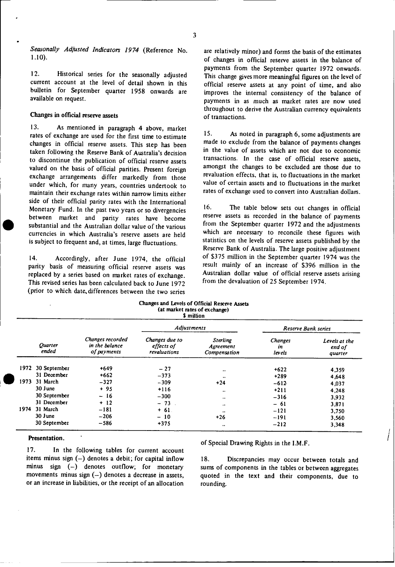*Seasonally Adjusted Indicators 1974* (Reference No. 1.10).

12. Historical series for the seasonally adjusted current account at the level of detail shown in this bulletin for September quarter 1958 onwards are available on request.

#### **Changes in official reserve assets**

13. As mentioned in paragraph 4 above, market rates of exchange are used for the first **time to estimate changes in** official reserve assets. This step has been taken following the Reserve **Bank** of Australia's decision to discontinue the publication of official **reserve assets** valued on the basis of official parities. Present foreign exchange arrangements differ markedly from those under which, for many years, countries undertook to maintain their exchange rates within narrow limits either side of their official parity rates with the International Monetary Fund. In the past two years or so divergencies between market and parity rates have become substantial and the Australian dollar value of the various currencies in which Australia's reserve assets are held is subject to frequent and, at times, large fluctuations.

14. Accordingly, after June 1974, the official parity basis of measuring official reserve assets was replaced by a series based on market rates of exchange. This revised series has been calculated back to June 1972 (prior to which date, differences between the two series

are relatively minor) and forms the basis of the estimates of changes in official reserve assets in the balance of payments from the September quarter 1972 onwards. This change gives more meaningful figures on the level of official reserve assets at any point of time, and also improves the internal consistency of the balance of payments in as much as market rates are now used throughout to derive the Australian currency equivalents of transactions.

15. As noted in paragraph 6, some adjustments are made to exclude from the balance of payments changes in the value of assets which are not due to economic transactions. In the case of official reserve assets, amongst the changes to be excluded are those due to revaluation effects, that is, to fluctuations in the market value of certain assets and to fluctuations in the market rates of exchange used to convert into Australian dollars.

16. The table below sets out changes in official reserve assets as recorded in the balance of payments from the September quarter 1972 and the adjustments which are necessary to reconcile these figures with statistics on the levels of reserve assets published by the Reserve Bank of Australia. The large positive adjustment of \$375 million in the September quarter 1974 was the result mainly of an increase of \$396 million in the Australian dollar value of official reserve assets arising from the devaluation of 25 September 1974.

| Changes and Levels of Official Reserve Assets |
|-----------------------------------------------|
| (at market rates of exchange)                 |
| <b>S</b> million                              |

|      |                  |                                                   | <b>Adjustments</b>                           |                                              | Reserve Bank series            |                                    |  |  |
|------|------------------|---------------------------------------------------|----------------------------------------------|----------------------------------------------|--------------------------------|------------------------------------|--|--|
|      | Ouarter<br>ended | Changes recorded<br>in the balance<br>of payments | Changes due to<br>effects of<br>revaluations | <b>Sterling</b><br>Agreement<br>Compensation | <b>Changes</b><br>in<br>levels | Levels at the<br>end of<br>quarter |  |  |
| 1972 | 30 September     | $+649$                                            | $-27$                                        |                                              | $+622$                         | 4,359                              |  |  |
|      | 31 December      | $+662$                                            | $-373$                                       | $\bullet\bullet$                             | $+289$                         | 4,648                              |  |  |
| 1973 | 31 March         | $-327$                                            | $-309$                                       | $+24$                                        | $-612$                         | 4.037                              |  |  |
|      | 30 June          | $+95$                                             | $+116$                                       | $\ddotsc$                                    | $+211$                         | 4.248                              |  |  |
|      | 30 September     | $-16$                                             | $-300$                                       | $\cdot$                                      | $-316$                         | 3.932                              |  |  |
|      | 31 December      | $+12$                                             | $-73$ .                                      | $\ddot{\phantom{0}}$                         | $-61$                          | 3.871                              |  |  |
| 1974 | 31 March         | $-181$                                            | $+61.$                                       | $\bullet\bullet$                             | $-121$                         | 3,750                              |  |  |
|      | 30 June          | $-206$                                            | $-10$                                        | $+26$                                        | $-191$                         | 3,560                              |  |  |
|      | 30 September     | $-586$                                            | $+375$                                       | $\bullet\bullet$                             | $-212$                         | 3,348                              |  |  |

#### **Presentation.**

17. In the following tables for current account items minus sign  $(-)$  denotes a debit; for capital inflow minus sign (-) denotes outflow; for monetary movements minus sign  $(-)$  denotes a decrease in assets, or an increase in liabilities, or the receipt of an allocation of Special Drawing Rights in the I.M.F.

18. Discrepancies may occur between totals and sums of components in the tables or between aggregates quoted in the text and their components, due to rounding.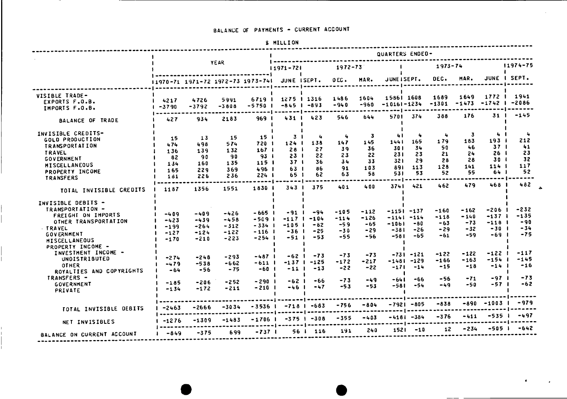**S MILLION**

|                                             |                       | QUARTERS ENDED-                                                                               |                  |                                 |                                                      |               |                         |                |                               |               |                |                      |                  |                               |
|---------------------------------------------|-----------------------|-----------------------------------------------------------------------------------------------|------------------|---------------------------------|------------------------------------------------------|---------------|-------------------------|----------------|-------------------------------|---------------|----------------|----------------------|------------------|-------------------------------|
|                                             |                       |                                                                                               | YEAR             |                                 | $11971 - 721$                                        |               | $1972 - 73$             |                |                               |               | $1973 - 74$    |                      |                  | $11974 - 75$                  |
|                                             |                       | anao anao anao anao anao anao anao amin'ny f<br>11970-71 1971-72 1972-73 1973-741 JUNE ISEPT. |                  |                                 |                                                      |               | DEC.                    | MAR.           | JUNEISEPT.                    |               | DEC.           | MAR.                 |                  | JUNE I SEPT.                  |
| VISIBLE TRADE-                              |                       |                                                                                               |                  |                                 |                                                      |               |                         |                |                               |               | 1689           | 1649                 |                  | 1772 1 1941                   |
| EXPORTS F.O.B.                              | 4217                  | 4726                                                                                          | 5991             | $6719$ $\pm$                    |                                                      | 1275   1316   | 1486                    | 1604<br>$-960$ | 15861 1608<br>$-10161 - 1234$ |               | $-1301$        |                      |                  | $-1473 - 1742$   -2086        |
| <b>IMPORTS F.O.B.</b>                       | $-3790$               | $-3792$<br>------                                                                             | $-3808$          | $-5750$ $\pm$<br>-------------- | ananaan   anananananananananananana   nuusaanannanan | $-845$ $-893$ | $-940$                  |                |                               |               |                |                      |                  | -------------- <b> ------</b> |
| BALANCE OF TRADE                            | 427                   | 934                                                                                           | 2183             | 969 I                           | 431 I                                                | 423           | 546                     | 644            |                               | 5701 374      | 388            | 176                  |                  | $311 - 145$                   |
| INVISIBLE CREDITS-                          |                       |                                                                                               |                  |                                 |                                                      |               |                         | -3             | -41                           | یه .          | یه ـ           | 3                    | 41               | 4                             |
| GOLD PRODUCTION                             | 15                    | 13                                                                                            | 15               | 15 <sub>1</sub>                 | 3 <sub>1</sub>                                       | 4             | 147                     | 145            | 1441                          | 165           | 179            | 183                  | 193 <sub>1</sub> | 212                           |
| <b>TRANSPORTATION</b>                       | 474                   | 498                                                                                           | 574              | 720                             | 124 <sub>1</sub><br>28 <sub>1</sub>                  | 138<br>27     | 39                      | 36             | 301                           | 34            | 50             | 46                   | 37 <sub>1</sub>  | 41                            |
| <b>TRAVEL</b>                               | 136                   | 139                                                                                           | 132              | $167-1$                         | 23 I                                                 | 22            | 23                      | 22             | 231                           | 23            | 21             | 24                   | 26               | 23                            |
| <b>GOVERNMENT</b>                           | 82                    | 90                                                                                            | -90              | 93 I<br>115 <sub>1</sub>        | 37 <sub>1</sub>                                      | 36            | 34                      | 33             | 321                           | 29            | 28             | -28                  | 30 <sub>1</sub>  | 32                            |
| MISCELLANEOUS                               | 134                   | 160                                                                                           | 135              | 496                             | 63 <sub>1</sub>                                      | 86            | 91                      | 103            | 891                           | 113           | 128            | 141                  | 114 <sub>1</sub> | 117                           |
| PROPERTY INCOME                             | 165                   | 229                                                                                           | 369<br>236       | 224                             | 65 1                                                 | 62            | 63                      | 58             | 53 I                          | 53            | 52             | 55                   | 64 1             | 52                            |
| <b>TRANSFERS</b>                            | 181<br>               | 226<br>$\frac{1}{2}$                                                                          | <b>.</b>         | . <b>.</b>                      | -------                                              | -------       | -------                 | .              |                               |               |                | ----                 | $\frac{1}{2}$    | -------                       |
| TOTAL INVISIBLE CREDITS                     | 1187                  | 1356                                                                                          | 1551             | 1830                            | 3431                                                 | 375           | 401                     | 400            | 3741                          | 421           | 462            | 479                  | 468 I            | 482                           |
| INVISIBLE DEBITS -                          |                       |                                                                                               |                  |                                 |                                                      |               |                         |                |                               |               |                |                      |                  |                               |
| TRANSPORTATION -                            |                       |                                                                                               |                  | $-665$ 1                        | $-91$                                                | -94           | $-105$                  | $-112$         |                               | $-1151 - 137$ | $-160$         | $-162$               | $-206$           | $-232$                        |
| <b>FREIGHT ON IMPORTS</b>                   | $-409$                | -409                                                                                          | $-426$<br>$-458$ | $-5091$                         | $-117$ $1$                                           | $-104$        | $-114$                  | $-126$         | $-1141$                       | $-114$        | $-118$         | $-140$               | -137             | $-135$                        |
| OTHER TRANSPORTATION                        | $-423$                | $-439$                                                                                        | $-312$           | $-334$ 1                        | $-105$ $+$                                           | $-82$         | $-59$                   | -65            | $-1061$                       | -80           | $-63$          | -73                  | $-118$           | -90                           |
| <b>FRAVEL</b>                               | $-199$<br>$-127$      | -264<br>$-124$                                                                                | $-122$           | $-116$                          | $-36$ $ $                                            | $-25$         | $-30$                   | -29            | $-381$                        | $-26$         | $-29$          | $-32$                | $-30$            | $-34$                         |
| <b>GOVERNMENT</b>                           | $-170$                | $-210$                                                                                        | $-223$           | $-254$ 1                        | $-51$ $\pm$                                          | $-53$         | $-55$                   | $-56$          | $-581$                        | -65           | $-61$          | $-59$                | $-69$ $1$        | $-75$                         |
| <b>MISCELLANEOUS</b>                        |                       |                                                                                               |                  |                                 |                                                      |               |                         |                |                               |               |                |                      |                  |                               |
| PROPERTY INCOME -                           |                       |                                                                                               |                  |                                 |                                                      |               |                         |                |                               |               |                |                      |                  |                               |
| INVESTMENT INCOME -<br><b>UNDISTRIBUTED</b> | $-274$                | $-248$                                                                                        | $-293$           | $-487$                          | $-621$                                               | $-73$         | $-73$                   | $-73$          |                               | $-731 - 121$  | $-122$         | $-122$               | $-122$ 1         | $-117$                        |
| <b>OTHER</b>                                | $-479$                | $-538$                                                                                        | -662             | $-611$                          | $-137$ $\pm$                                         | $-125$        | $-172$                  | $-217$         | $-1481$                       | $-129$        | -166           | $-163$               | $-154$           | $-145$<br>$-16$               |
| ROYALTIES AND COPYRIGHTS                    | -64                   | $-56$                                                                                         | $-75$            | $-601$                          | $-111$                                               | $-13$         | $-22$                   | $-22$          | $-171$                        | $-14$         | $-15$          | $-18$                | $-14$            |                               |
| TRANSFERS -                                 |                       |                                                                                               |                  |                                 |                                                      |               |                         |                |                               |               |                | $-71$                | -97              | $-73$                         |
| <b>GOVERNMENT</b>                           | $-185$                | $-206$                                                                                        | $-252$           | -290                            | -62                                                  | $-66$         | $-73$                   | $-49$          | $-641$                        | -66           | $-56$<br>$-49$ | $-50$                | $-57$ 1          | $-62$                         |
| PRIVATE                                     | $-134$                | $-172$                                                                                        | $-211$           | $-210$ 1                        | -46 1                                                | $-47$         | -53                     | $-53$          | $-581$                        | $-54$         |                |                      |                  |                               |
|                                             |                       |                                                                                               |                  |                                 |                                                      |               |                         |                |                               |               |                |                      |                  |                               |
|                                             |                       |                                                                                               |                  | -3536                           |                                                      | -718 I -683   | -756                    | $-804$         |                               | $-7921 - 805$ | $-838$         |                      | $-890 - 1003$    | -979                          |
| TOTAL INVISIBLE DEBITS                      | $-2463$<br>  ---- --- | -2666                                                                                         | -3034            |                                 |                                                      |               |                         |                |                               |               |                | -------------        |                  | .                             |
| NET INVISIBLES                              | $-1276$               | $-1309$                                                                                       | $-1483$          | -1706                           |                                                      | $-375$ $-308$ | $-355$<br>------------- | $-403$         |                               | -418  -384    | $-376$         | -411<br>------------ | $-535$ $\pm$     | -497                          |
| BALANCE ON CURRENT ACCOUNT                  | $-849$                | $-375$                                                                                        | 699              | $-737$ $+$                      |                                                      | 56   116      | -191                    | 240            |                               | $1521 - 10$   | 12             | $-234$               | $-505$ 1         | $-642$                        |

-----------------------------------------------------------------------------------------------------------------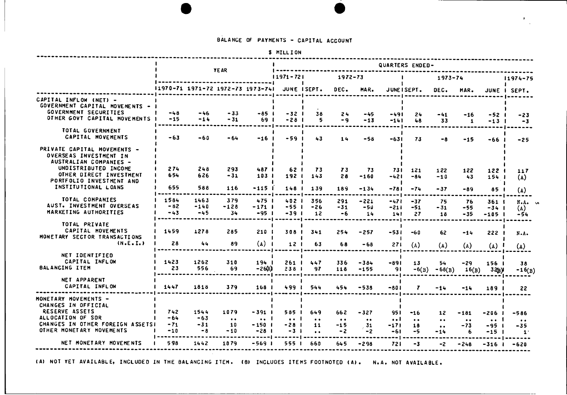## **BALANCE OF PAYMENTS** - CAPITAL **ACCOUNT**

| MILL I ON |  |  |  |
|-----------|--|--|--|

 $\mathcal{F}_{\mathcal{A}^{\mathcal{A}}}$ 

|                                                                                                                                                                                       |                              |                               |                                         |                                                    | <b>D</b> UTLLINM                                |                                                      |                                            |                                                         |                                 |                                       |                                                                      |                                             |                                                   |                                                                           |  |
|---------------------------------------------------------------------------------------------------------------------------------------------------------------------------------------|------------------------------|-------------------------------|-----------------------------------------|----------------------------------------------------|-------------------------------------------------|------------------------------------------------------|--------------------------------------------|---------------------------------------------------------|---------------------------------|---------------------------------------|----------------------------------------------------------------------|---------------------------------------------|---------------------------------------------------|---------------------------------------------------------------------------|--|
|                                                                                                                                                                                       |                              |                               | <b>YEAR</b>                             |                                                    |                                                 |                                                      |                                            |                                                         |                                 | QUARTERS ENDED-                       |                                                                      |                                             |                                                   |                                                                           |  |
|                                                                                                                                                                                       |                              |                               |                                         |                                                    | $11971 - 721$                                   |                                                      | $1972 - 73$                                |                                                         |                                 |                                       | $1973 - 74$                                                          |                                             |                                                   | $11974 - 75$                                                              |  |
|                                                                                                                                                                                       |                              |                               |                                         | 11970-71 1971-72 1972-73 1973-741                  | JUNE ISEPT.                                     |                                                      | DEC.                                       | MAR.                                                    |                                 | JUNE I SEPT.                          | DEC.                                                                 | MAR.                                        |                                                   | JUNE I SEPT.                                                              |  |
| CAPITAL INFLOW (NET) -<br>GOVERNMENT CAPITAL MOVEMENTS - I<br><b>GOVERNMENT SECURITIES</b><br>OTHER GOVT CAPITAL MOVEMENTS I                                                          | -48<br>$-15$                 | -46<br>$-14$                  | -33<br>$-31$                            | -85  <br>691                                       | $-321$<br>$-281$                                | 38<br>5                                              | 24<br>$-9$                                 | $-45$<br>$-13$                                          | -491<br>$-141$                  | 24<br>48                              | $-41$<br>33                                                          | $-16$<br>$\mathbf{1}$                       | -52 1<br>$-131$                                   | $-23$<br>$-3$                                                             |  |
| TOTAL GOVERNMENT<br><b>CAPITAL MOVEMENTS</b>                                                                                                                                          | -63                          | $-60$                         | - 64                                    | $-16$ $\mid$                                       | $-591$                                          | 43                                                   | 14                                         | $-58$                                                   | $-631$                          | 73                                    | -8                                                                   | $-15$                                       | -66 1                                             | $-25$                                                                     |  |
| PRIVATE CAPITAL MOVEMENTS -<br>OVERSEAS INVESTMENT IN<br>AUSTRALIAN COMPANIES -<br>UNDISTRIBUTED INCOME<br>OTHER DIRECT INVESTMENT<br>PORTFOLIO INVESTMENT AND<br>INSTITUTIONAL LOANS | 274<br>654<br>655            | 248<br>626<br>588             | 293<br>$-31$<br>116                     | 487 1<br>103 I<br>-115                             | 62 I<br>192  <br>148 <sub>1</sub>               | 73<br>143<br>139                                     | 73<br>28<br>189                            | 73<br>$-160$<br>-134                                    | 73 F<br>$-421$<br>$-781$        | 121<br>$-84$<br>$-74$                 | 122<br>$-10$<br>$-37$                                                | 122<br>43<br>-89                            | 122 1<br>154 1<br>85                              | 117<br>(A)<br>$(\Lambda)$                                                 |  |
| TOTAL COMPANIES<br><b>AUST. INVESTMENT OVERSEAS</b><br>MARKETING AUTHORITIES                                                                                                          | 1584<br>$-82$<br>$-43$       | 1463<br>$-140$<br>$-45$       | 379<br>$-128$<br>34                     | 475 <sub>1</sub><br>$-171$ $1$<br>$-951$           | 4021<br>$-551$<br>$-391$                        | 356<br>$-26$<br>12                                   | 291<br>$-31$<br>-6                         | $-221$<br>$-50$<br>14                                   | $-471$<br>$-211$<br>141         | $-37$<br>-51<br>27                    | 75<br>$-31$<br>18                                                    | 76<br>-55<br>$-35$                          | 361 <sub>1</sub><br>$-34$ 1<br>-105               | $N.A.$ $\alpha$<br>(A)<br>-54                                             |  |
| TOTAL PRIVATE<br>CAPITAL MOVEMENTS<br>MONETARY SECTOR TRANSACTIONS<br>(N.E.D.)                                                                                                        | 1459<br>28                   | 1278<br>44                    | 285<br>89                               | 210 <sub>1</sub><br>(A)                            | 308 1<br>12 <sub>1</sub>                        | 341<br>63                                            | 254<br>68                                  | $-257$<br>-68                                           | $-531$<br>271                   | -60<br>(A)                            | 62<br>(A)                                                            | $-14$<br>(A)                                | 222<br>$(\Lambda)$                                | N.A.<br>$(\mathbf{A})$                                                    |  |
| NET IDENTIFIED<br>CAPITAL INFLOW<br><b>BALANCING ITEM</b><br>NET APPARENT                                                                                                             | 1423<br>23                   | 1262<br>556                   | 310<br>69                               | 194 1<br>$-260$                                    | 261<br>238                                      | 447<br>97                                            | 336<br>118                                 | $-384$<br>$-155$                                        | -891<br>-91                     | 13 <sub>1</sub><br>$-6(B)$            | 54<br>$-68(B)$                                                       | -29<br>16(B)                                | 156  <br>32 b.                                    | 38<br>$-16(B)$                                                            |  |
| CAPITAL INFLOW<br>MONETARY MOVEMENTS -<br>CHANGES IN OFFICIAL                                                                                                                         | 1447                         | 1818                          | 379                                     | 168 <sub>1</sub>                                   | 4991                                            | 544                                                  | 454                                        | $-538$                                                  | $-801$                          | 7                                     | $-14$                                                                | $-14$                                       | 189                                               | 22                                                                        |  |
| <b>RESERVE ASSETS</b><br>ALLOCATION OF SDR<br>CHANGES IN OTHER FOREIGN ASSETS!<br>OTHER MONETARY MOVEMENTS                                                                            | 742<br>-64<br>$-71$<br>$-10$ | 1544<br>$-63$<br>$-31$<br>- 8 | 1079<br>$\bullet\bullet$<br>10<br>$-10$ | $-391$ $\pm$<br>$\ddotsc$<br>$-150$ $1$<br>$-28$ 1 | 585 I<br>$\bullet$ $\bullet$<br>$-281$<br>$-31$ | 649<br>$\bullet\bullet$<br>11<br>$\bullet$ $\bullet$ | 662<br>$\bullet\;\bullet$<br>$-15$<br>$-2$ | $-327$<br>$\bullet$ $\bullet$<br>$\frac{31}{2}$<br>$-2$ | 951<br>$\ddotsc$<br>-171<br>-61 | $-16$<br>$\bullet\bullet$<br>18<br>-5 | 12 <sup>2</sup><br>$\bullet$ $\bullet$<br>$\bullet$ $\bullet$<br>-14 | $-181$<br>$\bullet$ $\bullet$<br>$-73$<br>6 | $-206$ $\sqrt{ }$<br>$\ddotsc$<br>$-951$<br>$-15$ | $-586$<br>$\bullet\hspace{1mm}\bullet\hspace{1mm}$<br>-35<br>$\mathbf{1}$ |  |
| NET MONETARY MOVEMENTS                                                                                                                                                                | 598                          | 1442                          | 1079                                    | -569 1                                             | 555 I                                           | 660                                                  | 645                                        | $-298$                                                  | 721                             | $-3$                                  | -2                                                                   | $-248$                                      | -316                                              | $-620$                                                                    |  |

**(A) NOT YET AVAILABLE, INCLUDED IN THE BALANCING ITEM. (B) INCLUDES ITEMS FOOTNOTED (A). N.A. NOT AVAILABLE.**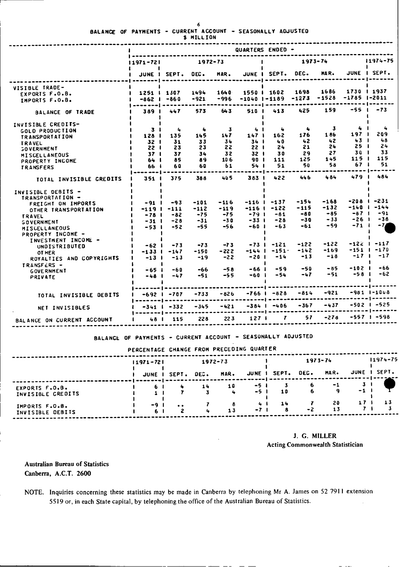$\boldsymbol{6}$ **BALANCE OF PAYMENTS** - **CURRENT ACCOUNT** - **SEASONALLY ADJUSTED**

S **MILLION**

|                                                             |                                          |                          |         |                         | QUARTERS ENDED - |                   |                            |             |                  |                              |
|-------------------------------------------------------------|------------------------------------------|--------------------------|---------|-------------------------|------------------|-------------------|----------------------------|-------------|------------------|------------------------------|
|                                                             | $11971 - 721$                            |                          | 1972-73 |                         |                  |                   |                            | 1973-74     |                  | 11974-75                     |
|                                                             |                                          | <b>JUNE I SEPT. DEC.</b> |         | MAR.                    |                  | JUNE I SEPT. DEC. |                            | MAR.        |                  | JUNE I SEPT.                 |
| VISIBLE TRADE-                                              |                                          |                          |         |                         |                  |                   |                            |             |                  |                              |
| EXPORTS F.O.B.                                              | 1251   1307                              |                          | 1494    | 1640                    |                  | 1550   1602       | 1698                       | 1686        |                  | 1730 1 1937                  |
| IMPORTS F.O.B.                                              | $-862$ 1                                 | $-860$                   | $-921$  | $-996$                  | $-1040$ $1-1189$ |                   | $-1273$                    | -1528       | -1785 1-2011     |                              |
| BALANCE OF TRADE                                            | ------<br>389 1                          | 447                      | 573     | 643                     | <b>510 I</b>     | 413               | 425                        | 159         | $-551$           | $-73$                        |
| INVISIBLE CREDITS-                                          | -1                                       |                          |         |                         |                  |                   |                            |             |                  |                              |
| GOLD PRODUCTION                                             | 3 <sub>1</sub>                           | 4                        | 4       | -3                      | 41               | 4                 | ٠                          | 3           | 41               | 4                            |
| <b>TRANSPORTATION</b>                                       | 128 <sub>1</sub>                         | 135                      | 145     | 147                     | 147 <sub>1</sub> | 162               | 176                        | 186         | 197              | 209                          |
| <b>TRAVEL</b>                                               | 32 <sub>1</sub>                          | 31                       | 33      | 34                      | $34 \;1$         | 40                | 42                         | 42          | 431              | 48                           |
| <b>GOVERNMENT</b>                                           | 22 <sub>1</sub>                          | 23                       | 23      | 22                      | 22 I             | 24                | 21                         | 24          | 25 <sub>1</sub>  | 24                           |
| <b>MISCELLANEOUS</b>                                        | 37 <sub>1</sub>                          | 37                       | 34      | 32                      | 32 <sub>1</sub>  | 30                | 29                         | 27          | 30 I             | 33                           |
| PROPERTY INCOME                                             | 64 I                                     | 85                       | 89      | 106                     | 90 I             | 111               | 125                        | 145         | 115 <sub>1</sub> | 115                          |
| <b>TRANSFERS</b>                                            | 66                                       | 60                       | 60      | 61                      | 54 I             | 51                | 50                         | 58          | 67 I             | 51                           |
| TOTAL INVISIBLE CREDITS                                     | . <b>.</b><br>351 1                      | ----<br>375              | 388     | 405                     | 3831             | 422               | 446                        | 484         | 479 <sub>1</sub> | 484                          |
| INVISIBLE DEBITS -<br>TRANSPORTATION -                      |                                          |                          |         |                         |                  |                   |                            |             |                  |                              |
| FREIGHT ON IMPORTS                                          | $-91$                                    | $-93$                    | $-101$  | $-116$                  |                  | $-116$ $-137$     | $-154$                     | $-168$      |                  | $-208$ $1 -231$              |
| OTHER TRANSPORTATION                                        |                                          | $-1191 - 111$            | $-112$  | $-119$                  |                  | $-116$   $-122$   | $-115$                     | $-132$      |                  | $-140 + -144$                |
| <b>TRAVEL</b>                                               | $-78$ $\pm$                              | -82                      | $-75$   | -75                     | $-791$           | $-81$             | $-80$                      | $-85$       | $-871$           | $-91$                        |
| <b>GOVERNMENT</b>                                           | $-31$ $1$                                | -28                      | $-31$   | $-30$                   | $-331$           | $-28$             | $-30$                      | -33         | $-261$           | $-38$                        |
| <b>MISCELLANEOUS</b>                                        | $-531$                                   | $-52$                    | $-55$   | -56                     | $-601$           | $-63$             | $-61$                      | -59         | $-71$ $\pm$      | -74                          |
| PROPERTY INCOME -                                           |                                          | -1                       |         |                         |                  |                   |                            |             |                  |                              |
| INVESTMENT INCOME -                                         |                                          |                          |         |                         |                  |                   |                            |             |                  |                              |
| <b>UNDISTRIBUTED</b>                                        | $-621$                                   | $-73$                    | $-73$   | $-73$                   |                  | $-73$   $-121$    | $-122$                     | $-122$      |                  | $-1221 - 117$                |
| <b>OT HER</b>                                               |                                          | $-133$   $-147$          | -150    | -222                    |                  | $-144$   $-151$   | $-142$                     | $-169$      |                  | $-151$ $-170$<br>$-17$ $-17$ |
| ROYALTIES AND COPYRIGHTS                                    | $-13$ $\pm$                              | $-13$                    | $-19$   | $-22$                   | $-20$ $\pm$      | $-14$             | $-13$                      | $-18$       |                  |                              |
| <b>TRANSFERS -</b>                                          |                                          |                          |         |                         |                  |                   | $-50$                      | -85         | <b>-102 I</b>    | $-66$                        |
| <b>GOVERNMENT</b>                                           | $-651$                                   | $-60$                    | -66     | $-58$                   | $-661$<br>$-601$ | $-59$<br>$-54$    | $-47$                      | $-51$       | $-58$ 1          | $-62$                        |
| <b>PRIVATE</b>                                              | $-48$                                    | $-47$                    | $-51$   | $-55$                   |                  |                   |                            |             |                  |                              |
|                                                             |                                          | $-692$   $-707$          | $-733$  | $-826$                  |                  | $-766$ $-828$     | ----------------<br>$-814$ | $-921$      |                  | $-981$ $-1008$               |
| TOTAL INVISIBLE DEBITS                                      |                                          |                          |         |                         |                  |                   |                            |             |                  |                              |
| NET INVISIBLES                                              |                                          | $-341$   $-332$          | $-345$  | $-421$<br>------------- |                  | $-384$ $-406$     | -367                       | $-437$      |                  | $-502$ $-525$                |
| BALANCE ON CURRENT ACCOUNT                                  | 48 I                                     | 115                      | 228     | 223                     | 127 I            | $\mathbf{r}$      | 57                         | $-278$      |                  | $-557$ 1 $-598$              |
| BALANCE OF PAYMENTS - CURRENT ACCOUNT - SEASONALLY ADJUSTED |                                          |                          |         |                         |                  |                   |                            |             |                  |                              |
|                                                             | PERCENTAGE CHANGE FROM PRECEDING QUARTER |                          |         |                         |                  |                   |                            |             |                  |                              |
|                                                             | $11971 - 721$                            |                          |         | $1972 - 73$             |                  |                   |                            | $1973 - 74$ |                  | $11974 - 79$                 |

|                                     | $11971 - 721$ |             |              | $1972 - 73$ |           |                | $1973 - 74$ |      |           |              |  | $11974 - 75$ |  |
|-------------------------------------|---------------|-------------|--------------|-------------|-----------|----------------|-------------|------|-----------|--------------|--|--------------|--|
|                                     |               |             | JUNE I SEPT. | DEC.        | MAR.      | JUNE 1         | SEPT.       | DEC. | MAR.      | JUNE I SEPT. |  |              |  |
| EXPORTS F.O.B.<br>INVISIBLE CREDITS |               | 61          |              | 14          | 10<br>-46 | $-51$<br>$-51$ | 10          |      | $-1$<br>a | $-1$         |  |              |  |
| IMPORTS F.O.B.<br>INVISIBLE DEBITS  |               | $-91$<br>61 | $\bullet$    |             | 13        | 41<br>$-71$    | 14<br>я     | $-2$ | 20<br>13  | 17           |  |              |  |

J. G. MILLER Acting Commonwealth **Statistician**

**Australian Bureau of Statistics** Canberra, A.C.T. 2600

NOTE. Inquiries concerning these statistics may be made in Canberra by telephoning Mr A. James on 52 7911 extension 5519 or, in each State capital, by telephoning the office of the Australian Bureau of Statistics.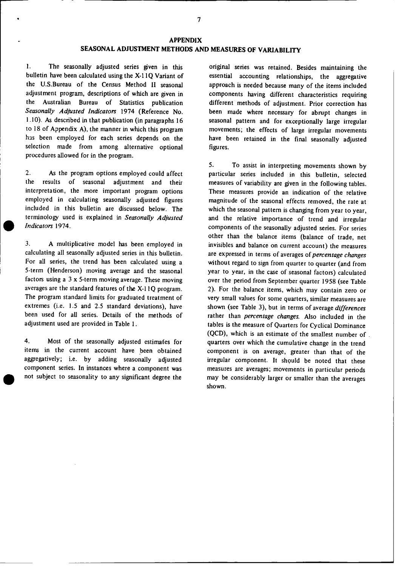1. **The** seasonally adjusted series given in this bulletin have been calculated using the X-11Q Variant of the U.S.Bureau of the Census Method **11 seasonal** adjustment program, descriptions of which are given in the Australian **Bureau** of Statistics publication *Seasonally Adjusted Indicators* 1974 (Reference No. 1.10). As described in that publication (in paragraphs 16 to 18 of Appendix A), the manner in which this program has been employed for each series depends on the selection made from among alternative optional procedures allowed for in the program.

2. As the program options employed could affect the results of seasonal adjustment and their interpretation, the more important program options employed in calculating seasonally adjusted figures included in this bulletin are discussed below. The terminology used is explained in *Seasonally Adjusted Indicators* 1974.

3. A multiplicative model has been employed in calculating all seasonally adjusted series in this bulletin. For all series, the trend has been calculated using a 5-term (Henderson) moving average and the seasonal factors using a 3 x 5-term moving average. These moving averages are the standard features of the X-l **I** Q program. The program standard limits for graduated treatment of extremes (i.e. 1.5 and 2.5 standard deviations), have been used for all series. Details of the methods of adjustment used are provided in Table **1.**

4. Most of the seasonally adjusted estimafes for items in the current account have been obtained aggregatively; i.e. by adding seasonally adjusted component series. In instances where a component was not subject to seasonality to any significant degree the

original series **was retained. Besides** maintaining **the** essential accounting relationships, the aggregative approach is needed because many of the items included components having different characteristics requiring different methods of adjustment. Prior correction has been made where necessary for abrupt changes in **seasonal pattern and for exceptionally large irregular** movements; the effects of large irregular movements have been retained in the final seasonally adjusted figures.

5. To assist in interpreting movements shown by particular series included in this bulletin, selected measures of variability are given in the following tables. These measures provide an indication of the relative magnitude of the seasonal effects removed, the rate at which the seasonal pattern is changing from year to year, and the relative importance of trend and irregular components of the seasonally adjusted series. For series other than the balance items (balance of trade, net invisibles and balance on current account) the measures are expressed in terms of averages of *percentage changes* without regard to sign from quarter to quarter (and from year to year, in the case of seasonal factors) calculated over the period from September quarter 1958 (see Table 2). For the balance items, which may contain zero or very small values for some quarters, similar measures are shown (see Table 3), but in terms of average *differences* rather than *percentage changes.* Also included in the tables is the measure of Quarters for Cyclical Dominance (QCD), which is an estimate of the smallest number of quarters over which the cumulative change in the trend component is on average, greater than that of the irregular component. It should be noted that these measures are averages; movements in particular periods may be considerably larger or smaller than the averages shown.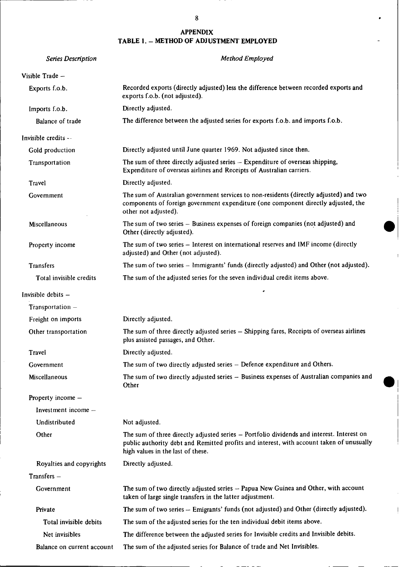# **APPENDIX TABLE I. - METHOD OF ADJUSTMENT EMPLOYED**

| <b>Series Description</b>  | Method Employed                                                                                                                                                                                                            |
|----------------------------|----------------------------------------------------------------------------------------------------------------------------------------------------------------------------------------------------------------------------|
| Visible Trade -            |                                                                                                                                                                                                                            |
| Exports f.o.b.             | Recorded exports (directly adjusted) less the difference between recorded exports and<br>exports f.o.b. (not adjusted).                                                                                                    |
| Imports f.o.b.             | Directly adjusted.                                                                                                                                                                                                         |
| Balance of trade           | The difference between the adjusted series for exports f.o.b. and imports f.o.b.                                                                                                                                           |
| Invisible credits --       |                                                                                                                                                                                                                            |
| Gold production            | Directly adjusted until June quarter 1969. Not adjusted since then.                                                                                                                                                        |
| Transportation             | The sum of three directly adjusted series - Expenditure of overseas shipping,<br>Expenditure of overseas airlines and Receipts of Australian carriers.                                                                     |
| Travel                     | Directly adjusted.                                                                                                                                                                                                         |
| Government                 | The sum of Australian government services to non-residents (directly adjusted) and two<br>components of foreign government expenditure (one component directly adjusted, the<br>other not adjusted).                       |
| Miscellaneous              | The sum of two series - Business expenses of foreign companies (not adjusted) and<br>Other (directly adjusted).                                                                                                            |
| Property income            | The sum of two series - Interest on international reserves and IMF income (directly<br>adjusted) and Other (not adjusted).                                                                                                 |
| Transfers                  | The sum of two series - Immigrants' funds (directly adjusted) and Other (not adjusted).                                                                                                                                    |
| Total invisible credits    | The sum of the adjusted series for the seven individual credit items above.                                                                                                                                                |
| Invisible debits $-$       |                                                                                                                                                                                                                            |
| $Transportation -$         |                                                                                                                                                                                                                            |
| Freight on imports         | Directly adjusted.                                                                                                                                                                                                         |
| Other transportation       | The sum of three directly adjusted series - Shipping fares, Receipts of overseas airlines<br>plus assisted passages, and Other.                                                                                            |
| Travel                     | Directly adjusted.                                                                                                                                                                                                         |
| Government                 | The sum of two directly adjusted series - Defence expenditure and Others.                                                                                                                                                  |
| Miscellaneous              | The sum of two directly adjusted series - Business expenses of Australian companies and<br>Other                                                                                                                           |
| Property income -          |                                                                                                                                                                                                                            |
| Investment income $-$      |                                                                                                                                                                                                                            |
| Undistributed              | Not adjusted.                                                                                                                                                                                                              |
| Other                      | The sum of three directly adjusted series - Portfolio dividends and interest. Interest on<br>public authority debt and Remitted profits and interest, with account taken of unusually<br>high values in the last of these. |
| Royalties and copyrights   | Directly adjusted.                                                                                                                                                                                                         |
| $Transfers -$              |                                                                                                                                                                                                                            |
| Government                 | The sum of two directly adjusted series - Papua New Guinea and Other, with account<br>taken of large single transfers in the latter adjustment.                                                                            |
| Private                    | The sum of two series -- Emigrants' funds (not adjusted) and Other (directly adjusted).                                                                                                                                    |
| Total invisible debits     | The sum of the adjusted series for the ten individual debit items above.                                                                                                                                                   |
| Net invisibles             | The difference between the adjusted series for Invisible credits and Invisible debits.                                                                                                                                     |
| Balance on current account | The sum of the adjusted series for Balance of trade and Net Invisibles.                                                                                                                                                    |